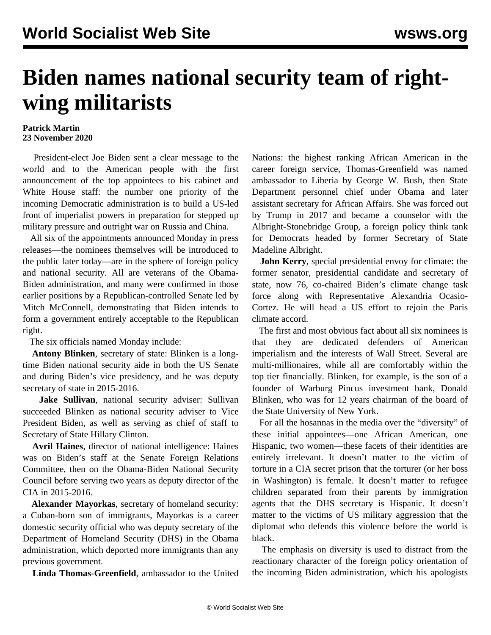## **Biden names national security team of rightwing militarists**

## **Patrick Martin 23 November 2020**

 President-elect Joe Biden sent a clear message to the world and to the American people with the first announcement of the top appointees to his cabinet and White House staff: the number one priority of the incoming Democratic administration is to build a US-led front of imperialist powers in preparation for stepped up military pressure and outright war on Russia and China.

 All six of the appointments announced Monday in press releases—the nominees themselves will be introduced to the public later today—are in the sphere of foreign policy and national security. All are veterans of the Obama-Biden administration, and many were confirmed in those earlier positions by a Republican-controlled Senate led by Mitch McConnell, demonstrating that Biden intends to form a government entirely acceptable to the Republican right.

The six officials named Monday include:

 **Antony Blinken**, secretary of state: Blinken is a longtime Biden national security aide in both the US Senate and during Biden's vice presidency, and he was deputy secretary of state in 2015-2016.

 **Jake Sullivan**, national security adviser: Sullivan succeeded Blinken as national security adviser to Vice President Biden, as well as serving as chief of staff to Secretary of State Hillary Clinton.

 **Avril Haines**, director of national intelligence: Haines was on Biden's staff at the Senate Foreign Relations Committee, then on the Obama-Biden National Security Council before serving two years as deputy director of the CIA in 2015-2016.

 **Alexander Mayorkas**, secretary of homeland security: a Cuban-born son of immigrants, Mayorkas is a career domestic security official who was deputy secretary of the Department of Homeland Security (DHS) in the Obama administration, which deported more immigrants than any previous government.

**Linda Thomas-Greenfield**, ambassador to the United

Nations: the highest ranking African American in the career foreign service, Thomas-Greenfield was named ambassador to Liberia by George W. Bush, then State Department personnel chief under Obama and later assistant secretary for African Affairs. She was forced out by Trump in 2017 and became a counselor with the Albright-Stonebridge Group, a foreign policy think tank for Democrats headed by former Secretary of State Madeline Albright.

 **John Kerry**, special presidential envoy for climate: the former senator, presidential candidate and secretary of state, now 76, co-chaired Biden's climate change task force along with Representative Alexandria Ocasio-Cortez. He will head a US effort to rejoin the Paris climate accord.

 The first and most obvious fact about all six nominees is that they are dedicated defenders of American imperialism and the interests of Wall Street. Several are multi-millionaires, while all are comfortably within the top tier financially. Blinken, for example, is the son of a founder of Warburg Pincus investment bank, Donald Blinken, who was for 12 years chairman of the board of the State University of New York.

 For all the hosannas in the media over the "diversity" of these initial appointees—one African American, one Hispanic, two women—these facets of their identities are entirely irrelevant. It doesn't matter to the victim of torture in a CIA secret prison that the torturer (or her boss in Washington) is female. It doesn't matter to refugee children separated from their parents by immigration agents that the DHS secretary is Hispanic. It doesn't matter to the victims of US military aggression that the diplomat who defends this violence before the world is black.

 The emphasis on diversity is used to distract from the reactionary character of the foreign policy orientation of the incoming Biden administration, which his apologists